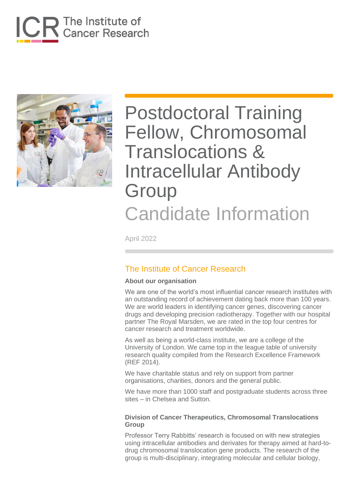



April 2022

### The Institute of Cancer Research

### **About our organisation**

We are one of the world's most influential cancer research institutes with an outstanding record of achievement dating back more than 100 years. We are world leaders in identifying cancer genes, discovering cancer drugs and developing precision radiotherapy. Together with our hospital partner The Royal Marsden, we are rated in the top four centres for cancer research and treatment worldwide.

As well as being a world-class institute, we are a college of the University of London. We came top in the league table of university research quality compiled from the Research Excellence Framework (REF 2014).

We have charitable status and rely on support from partner organisations, charities, donors and the general public.

We have more than 1000 staff and postgraduate students across three sites – in Chelsea and Sutton.

### **Division of Cancer Therapeutics, Chromosomal Translocations Group**

Professor Terry Rabbitts' research is focused on with new strategies using intracellular antibodies and derivates for therapy aimed at hard-todrug chromosomal translocation gene products. The research of the group is multi-disciplinary, integrating molecular and cellular biology,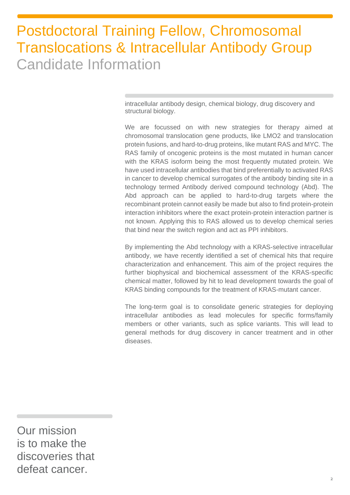intracellular antibody design, chemical biology, drug discovery and structural biology.

We are focussed on with new strategies for therapy aimed at chromosomal translocation gene products, like LMO2 and translocation protein fusions, and hard-to-drug proteins, like mutant RAS and MYC. The RAS family of oncogenic proteins is the most mutated in human cancer with the KRAS isoform being the most frequently mutated protein. We have used intracellular antibodies that bind preferentially to activated RAS in cancer to develop chemical surrogates of the antibody binding site in a technology termed Antibody derived compound technology (Abd). The Abd approach can be applied to hard-to-drug targets where the recombinant protein cannot easily be made but also to find protein-protein interaction inhibitors where the exact protein-protein interaction partner is not known. Applying this to RAS allowed us to develop chemical series that bind near the switch region and act as PPI inhibitors.

By implementing the Abd technology with a KRAS-selective intracellular antibody, we have recently identified a set of chemical hits that require characterization and enhancement. This aim of the project requires the further biophysical and biochemical assessment of the KRAS-specific chemical matter, followed by hit to lead development towards the goal of KRAS binding compounds for the treatment of KRAS-mutant cancer.

The long-term goal is to consolidate generic strategies for deploying intracellular antibodies as lead molecules for specific forms/family members or other variants, such as splice variants. This will lead to general methods for drug discovery in cancer treatment and in other diseases.

Our mission is to make the discoveries that defeat cancer.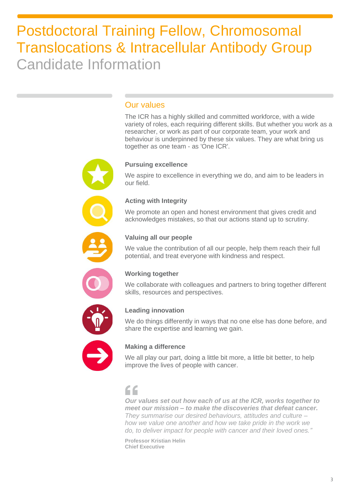### Our values

The ICR has a highly skilled and committed workforce, with a wide variety of roles, each requiring different skills. But whether you work as a researcher, or work as part of our corporate team, your work and behaviour is underpinned by these six values. They are what bring us together as one team - as 'One ICR'.

### **Pursuing excellence**

We aspire to excellence in everything we do, and aim to be leaders in our field.

### **Acting with Integrity**

We promote an open and honest environment that gives credit and acknowledges mistakes, so that our actions stand up to scrutiny.



### **Valuing all our people**

We value the contribution of all our people, help them reach their full potential, and treat everyone with kindness and respect.



### **Working together**

We collaborate with colleagues and partners to bring together different skills, resources and perspectives.



### **Leading innovation**

We do things differently in ways that no one else has done before, and share the expertise and learning we gain.



### **Making a difference**

We all play our part, doing a little bit more, a little bit better, to help improve the lives of people with cancer.

## "

*Our values set out how each of us at the ICR, works together to meet our mission – to make the discoveries that defeat cancer. They summarise our desired behaviours, attitudes and culture – how we value one another and how we take pride in the work we do, to deliver impact for people with cancer and their loved ones."*

**Professor Kristian Helin Chief Executive**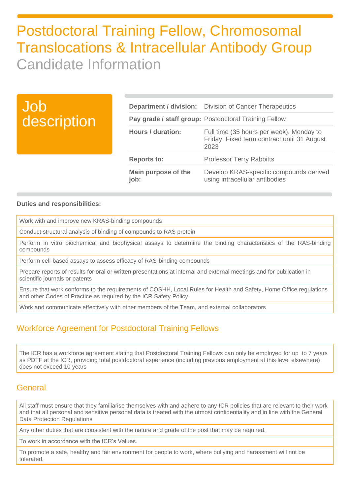| Job<br>description |                             | <b>Department / division:</b> Division of Cancer Therapeutics                                   |
|--------------------|-----------------------------|-------------------------------------------------------------------------------------------------|
|                    |                             | Pay grade / staff group: Postdoctoral Training Fellow                                           |
|                    | <b>Hours / duration:</b>    | Full time (35 hours per week), Monday to<br>Friday. Fixed term contract until 31 August<br>2023 |
|                    | <b>Reports to:</b>          | <b>Professor Terry Rabbitts</b>                                                                 |
|                    | Main purpose of the<br>job: | Develop KRAS-specific compounds derived<br>using intracellular antibodies                       |

### **Duties and responsibilities:**

Work with and improve new KRAS-binding compounds

Conduct structural analysis of binding of compounds to RAS protein

Perform in vitro biochemical and biophysical assays to determine the binding characteristics of the RAS-binding compounds

Perform cell-based assays to assess efficacy of RAS-binding compounds

Prepare reports of results for oral or written presentations at internal and external meetings and for publication in scientific journals or patents

Ensure that work conforms to the requirements of COSHH, Local Rules for Health and Safety, Home Office regulations and other Codes of Practice as required by the ICR Safety Policy

Work and communicate effectively with other members of the Team, and external collaborators

### Workforce Agreement for Postdoctoral Training Fellows

The ICR has a workforce agreement stating that Postdoctoral Training Fellows can only be employed for up to 7 years as PDTF at the ICR, providing total postdoctoral experience (including previous employment at this level elsewhere) does not exceed 10 years

### General

All staff must ensure that they familiarise themselves with and adhere to any ICR policies that are relevant to their work and that all personal and sensitive personal data is treated with the utmost confidentiality and in line with the General Data Protection Regulations

Any other duties that are consistent with the nature and grade of the post that may be required.

To work in accordance with the ICR's Values.

To promote a safe, healthy and fair environment for people to work, where bullying and harassment will not be tolerated.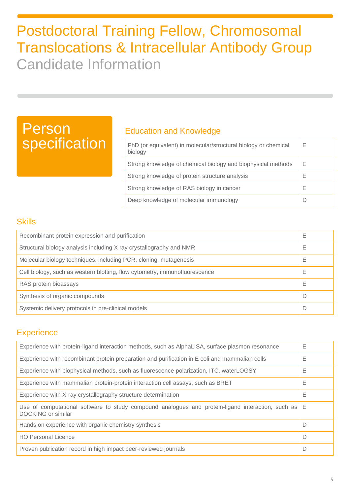# Person specification

### Education and Knowledge

| PhD (or equivalent) in molecular/structural biology or chemical<br>biology | Е |
|----------------------------------------------------------------------------|---|
| Strong knowledge of chemical biology and biophysical methods               | Е |
| Strong knowledge of protein structure analysis                             | Е |
| Strong knowledge of RAS biology in cancer                                  | Е |
| Deep knowledge of molecular immunology                                     |   |

### **Skills**

| Recombinant protein expression and purification                            |   |
|----------------------------------------------------------------------------|---|
| Structural biology analysis including X ray crystallography and NMR        |   |
| Molecular biology techniques, including PCR, cloning, mutagenesis          |   |
| Cell biology, such as western blotting, flow cytometry, immunofluorescence |   |
| RAS protein bioassays                                                      | Е |
| Synthesis of organic compounds                                             |   |
| Systemic delivery protocols in pre-clinical models                         |   |

### **Experience**

| Experience with protein-ligand interaction methods, such as AlphaLISA, surface plasmon resonance                            | Ε |
|-----------------------------------------------------------------------------------------------------------------------------|---|
| Experience with recombinant protein preparation and purification in E coli and mammalian cells                              | Е |
| Experience with biophysical methods, such as fluorescence polarization, ITC, waterLOGSY                                     | Е |
| Experience with mammalian protein-protein interaction cell assays, such as BRET                                             | Ε |
| Experience with X-ray crystallography structure determination                                                               | Ε |
| Use of computational software to study compound analogues and protein-ligand interaction, such as $E$<br>DOCKING or similar |   |
| Hands on experience with organic chemistry synthesis                                                                        | D |
| <b>HO Personal Licence</b>                                                                                                  | D |
| Proven publication record in high impact peer-reviewed journals                                                             | D |